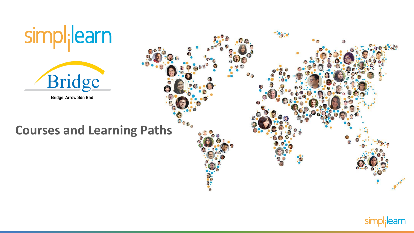

![](_page_0_Figure_1.jpeg)

simpl<sub>i</sub>learn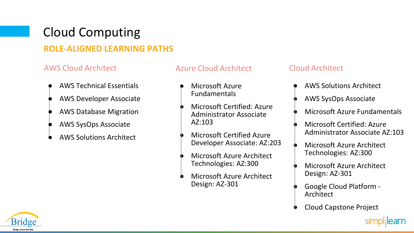### Cloud Computing **ROLE-ALIGNED LEARNING PATHS**

#### AWS Cloud Architect

- **AWS Technical Essentials**
- AWS Developer Associate
- AWS Database Migration
- AWS SysOps Associate
- AWS Solutions Architect

#### Azure Cloud Architect Cloud Architect

- **Microsoft Azure** Fundamentals
- Microsoft Certified: Azure Administrator Associate AZ:103
- **Microsoft Certified Azure** Developer Associate: AZ:203
- **Microsoft Azure Architect** Technologies: AZ:300
- Microsoft Azure Architect Design: AZ-301

- **AWS Solutions Architect**
- AWS SysOps Associate
- Microsoft Azure Fundamentals
- Microsoft Certified: Azure Administrator Associate AZ:103
- Microsoft Azure Architect Technologies: AZ:300
- **Microsoft Azure Architect** Design: AZ-301
- Google Cloud Platform -Architect
- Cloud Capstone Project

![](_page_1_Picture_22.jpeg)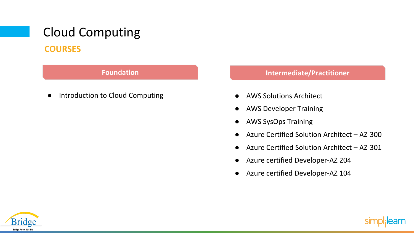### Cloud Computing **COURSES**

#### **Foundation**

● Introduction to Cloud Computing

- **AWS Solutions Architect**
- AWS Developer Training
- AWS SysOps Training
- Azure Certified Solution Architect AZ-300
- Azure Certified Solution Architect AZ-301
- Azure certified Developer-AZ 204
- Azure certified Developer-AZ 104

![](_page_2_Picture_11.jpeg)

![](_page_2_Picture_12.jpeg)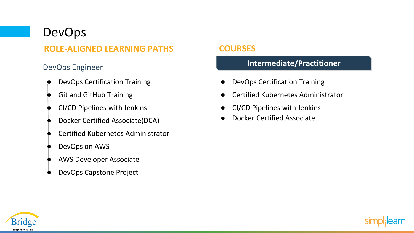## DevOps

**ROLE-ALIGNED LEARNING PATHS**

#### DevOps Engineer

- DevOps Certification Training
- **Git and GitHub Training**
- CI/CD Pipelines with Jenkins
- Docker Certified Associate(DCA)
- Certified Kubernetes Administrator
- DevOps on AWS
- AWS Developer Associate
- DevOps Capstone Project

#### **COURSES**

- **DevOps Certification Training**
- Certified Kubernetes Administrator
- CI/CD Pipelines with Jenkins
- **Docker Certified Associate**

![](_page_3_Picture_17.jpeg)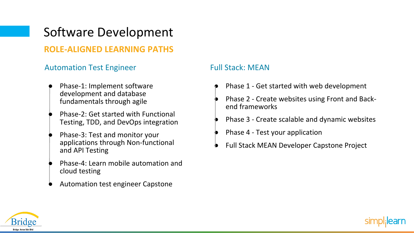# Software Development

### **ROLE-ALIGNED LEARNING PATHS**

#### Automation Test Engineer

- Phase-1: Implement software development and database fundamentals through agile
- Phase-2: Get started with Functional Testing, TDD, and DevOps integration
- Phase-3: Test and monitor your applications through Non-functional and API Testing
- Phase-4: Learn mobile automation and cloud testing
- Automation test engineer Capstone

#### Full Stack: MEAN

- Phase 1 Get started with web development
- Phase 2 Create websites using Front and Backend frameworks
- Phase 3 Create scalable and dynamic websites
- Phase 4 Test your application
- **Full Stack MEAN Developer Capstone Project**

![](_page_4_Picture_14.jpeg)

![](_page_4_Picture_15.jpeg)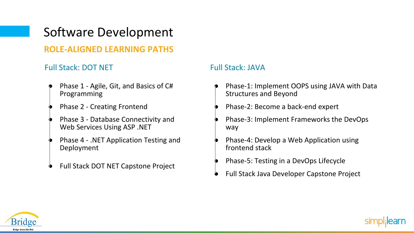## Software Development

### **ROLE-ALIGNED LEARNING PATHS**

#### Full Stack: DOT NET

- Phase 1 Agile, Git, and Basics of C# Programming
- Phase 2 Creating Frontend
- Phase 3 Database Connectivity and Web Services Using ASP .NET
- Phase 4 .NET Application Testing and Deployment
- **Full Stack DOT NET Capstone Project**

#### Full Stack: JAVA

- Phase-1: Implement OOPS using JAVA with Data Structures and Beyond
- Phase-2: Become a back-end expert
- Phase-3: Implement Frameworks the DevOps way
- Phase-4: Develop a Web Application using frontend stack
- Phase-5: Testing in a DevOps Lifecycle
- **Full Stack Java Developer Capstone Project**

![](_page_5_Picture_15.jpeg)

![](_page_5_Picture_16.jpeg)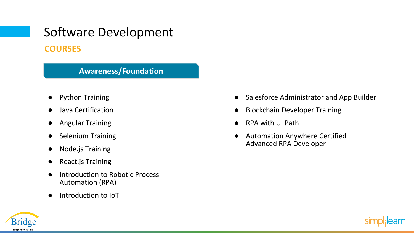## Software Development **COURSES**

#### **Awareness/Foundation**

- **Python Training**
- Java Certification
- Angular Training
- **Selenium Training**
- Node.js Training
- **React.js Training**
- Introduction to Robotic Process Automation (RPA)
- Introduction to IoT
- Salesforce Administrator and App Builder
- **Blockchain Developer Training**
- RPA with Ui Path
- Automation Anywhere Certified Advanced RPA Developer

![](_page_6_Picture_14.jpeg)

![](_page_6_Picture_15.jpeg)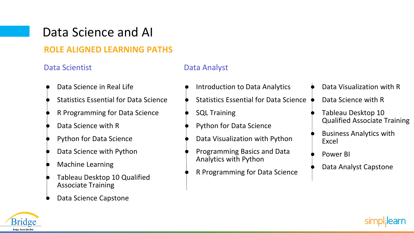### Data Science and AI

### **ROLE ALIGNED LEARNING PATHS**

#### Data Scientist

- Data Science in Real Life
- **Statistics Essential for Data Science**
- **R Programming for Data Science**
- Data Science with R
- **Python for Data Science**
- Data Science with Python
- **Machine Learning**
- Tableau Desktop 10 Qualified Associate Training
- Data Science Capstone

#### Data Analyst

- Introduction to Data Analytics
- Statistics Essential for Data Science
	- **SQL Training**
- Python for Data Science
- Data Visualization with Python
- Programming Basics and Data Analytics with Python
- R Programming for Data Science
- Data Visualization with R
- Data Science with R
- Tableau Desktop 10 Qualified Associate Training
- **Business Analytics with** Excel
- Power BI
- Data Analyst Capstone

![](_page_7_Picture_26.jpeg)

![](_page_7_Picture_27.jpeg)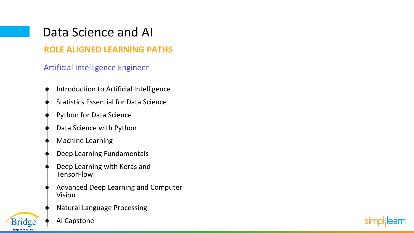## Data Science and AI **ROLE ALIGNED LEARNING PATHS**

Artificial Intelligence Engineer

- Introduction to Artificial Intelligence
- **Statistics Essential for Data Science**
- Python for Data Science
- Data Science with Python
- **Machine Learning**
- Deep Learning Fundamentals
- Deep Learning with Keras and **TensorFlow**
- Advanced Deep Learning and Computer Vision
- **Natural Language Processing**

![](_page_8_Picture_11.jpeg)

**AI Capstone** 

![](_page_8_Picture_13.jpeg)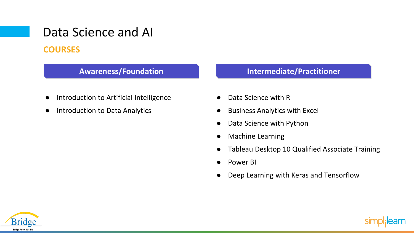### Data Science and AI **COURSES**

- Introduction to Artificial Intelligence
- Introduction to Data Analytics

#### **Awareness/Foundation Intermediate/Practitioner**

- Data Science with R
- Business Analytics with Excel
- Data Science with Python
- Machine Learning
- Tableau Desktop 10 Qualified Associate Training
- Power BI
- Deep Learning with Keras and Tensorflow

![](_page_9_Picture_12.jpeg)

![](_page_9_Picture_13.jpeg)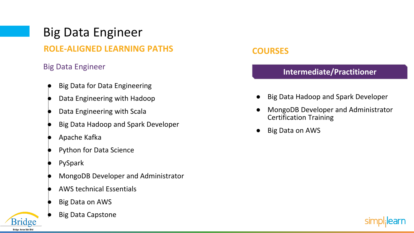### Big Data Engineer **ROLE-ALIGNED LEARNING PATHS**

#### Big Data Engineer

- **Big Data for Data Engineering**
- Data Engineering with Hadoop
- Data Engineering with Scala
- **Big Data Hadoop and Spark Developer**
- Apache Kafka
- Python for Data Science
- **PySpark**
- MongoDB Developer and Administrator
- AWS technical Essentials
- **Big Data on AWS**

![](_page_10_Picture_12.jpeg)

**Big Data Capstone** 

### **COURSES**

- Big Data Hadoop and Spark Developer
- MongoDB Developer and Administrator Certification Training
- **Big Data on AWS**

![](_page_10_Picture_19.jpeg)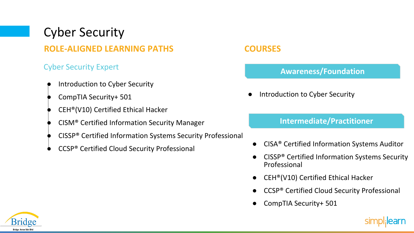## Cyber Security

### **ROLE-ALIGNED LEARNING PATHS**

#### Cyber Security Expert

- Introduction to Cyber Security
- CompTIA Security+ 501
- $CEH<sup>®</sup>(V10)$  Certified Ethical Hacker
- CISM® Certified Information Security Manager
- CISSP<sup>®</sup> Certified Information Systems Security Professional
- CCSP® Certified Cloud Security Professional

#### **COURSES**

#### **Awareness/Foundation**

Introduction to Cyber Security

- CISA<sup>®</sup> Certified Information Systems Auditor
- CISSP<sup>®</sup> Certified Information Systems Security Professional
- $CEH<sup>®</sup>(V10)$  Certified Ethical Hacker
- CCSP<sup>®</sup> Certified Cloud Security Professional
- CompTIA Security+ 501

![](_page_11_Picture_18.jpeg)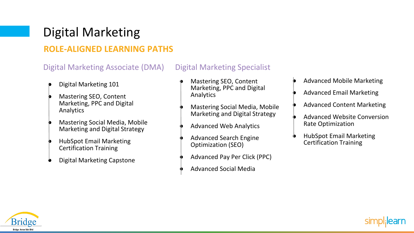## Digital Marketing **ROLE-ALIGNED LEARNING PATHS**

#### Digital Marketing Associate (DMA) Digital Marketing Specialist

- Digital Marketing 101
- **Mastering SEO, Content** Marketing, PPC and Digital Analytics
- **Mastering Social Media, Mobile** Marketing and Digital Strategy
- **HubSpot Email Marketing** Certification Training
- **Digital Marketing Capstone**
- **Mastering SEO, Content** Marketing, PPC and Digital Analytics
- **Mastering Social Media, Mobile** Marketing and Digital Strategy
- **Advanced Web Analytics**
- Advanced Search Engine Optimization (SEO)
- Advanced Pay Per Click (PPC)
- ♦ Advanced Social Media
- **Advanced Mobile Marketing**
- Advanced Email Marketing
- **Advanced Content Marketing**
- Advanced Website Conversion Rate Optimization
- **HubSpot Email Marketing** Certification Training

![](_page_12_Picture_18.jpeg)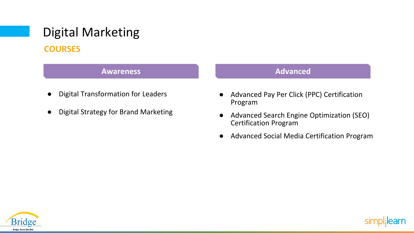### Digital Marketing **COURSES**

#### **Awareness**

- **Digital Transformation for Leaders**
- Digital Strategy for Brand Marketing

#### **Advanced**

- Advanced Pay Per Click (PPC) Certification Program
- Advanced Search Engine Optimization (SEO) Certification Program
- Advanced Social Media Certification Program

![](_page_13_Picture_8.jpeg)

![](_page_13_Picture_9.jpeg)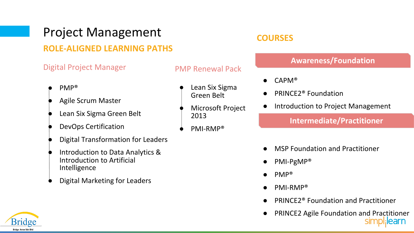### Project Management **ROLE-ALIGNED LEARNING PATHS**

#### Digital Project Manager **PMP Renewal Pack**

- PMP®
- Agile Scrum Master
- Lean Six Sigma Green Belt
- DevOps Certification
- **Digital Transformation for Leaders**
- Introduction to Data Analytics & Introduction to Artificial Intelligence
- Digital Marketing for Leaders

- Lean Six Sigma Green Belt
- **Microsoft Project** 2013
- PMI-RMP®

#### **COURSES**

#### **Awareness/Foundation**

- $CAPM<sup>®</sup>$
- PRINCE2<sup>®</sup> Foundation
- Introduction to Project Management

- **MSP Foundation and Practitioner**
- PMI-PgMP®
- PMP®
- PMI-RMP®
- PRINCE2® Foundation and Practitioner
- **PRINCE2 Agile Foundation and Practitioner** :learn

![](_page_14_Picture_25.jpeg)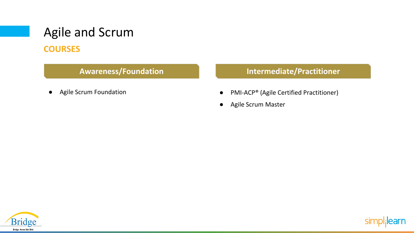### Agile and Scrum **COURSES**

● Agile Scrum Foundation

#### **Awareness/Foundation Intermediate/Practitioner**

- PMI-ACP® (Agile Certified Practitioner)
- Agile Scrum Master

![](_page_15_Picture_6.jpeg)

![](_page_15_Picture_7.jpeg)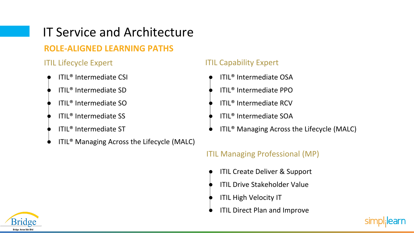## IT Service and Architecture

### **ROLE-ALIGNED LEARNING PATHS**

- ITIL<sup>®</sup> Intermediate CSI
- ITIL<sup>®</sup> Intermediate SD
- ITIL<sup>®</sup> Intermediate SO
- ITIL<sup>®</sup> Intermediate SS
- ITIL<sup>®</sup> Intermediate ST
- ITIL<sup>®</sup> Managing Across the Lifecycle (MALC)

### ITIL Lifecycle Expert **ITIL Capability Expert**

- ITIL<sup>®</sup> Intermediate OSA
- ITIL<sup>®</sup> Intermediate PPO
- ITIL<sup>®</sup> Intermediate RCV
- ITIL<sup>®</sup> Intermediate SOA
- ITIL<sup>®</sup> Managing Across the Lifecycle (MALC)

#### ITIL Managing Professional (MP)

- **ITIL Create Deliver & Support**
- **ITIL Drive Stakeholder Value**
- **ITIL High Velocity IT**
- **ITIL Direct Plan and Improve**

![](_page_16_Picture_20.jpeg)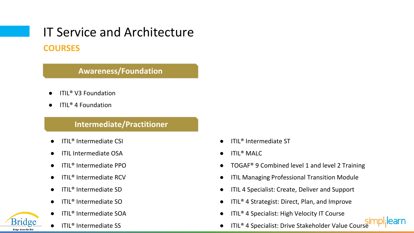## IT Service and Architecture **COURSES**

#### **Awareness/Foundation**

- ITIL<sup>®</sup> V3 Foundation
- ITIL<sup>®</sup> 4 Foundation

#### **Intermediate/Practitioner**

- ITIL<sup>®</sup> Intermediate CSI
- **ITIL Intermediate OSA**
- ITIL<sup>®</sup> Intermediate PPO
- ITIL<sup>®</sup> Intermediate RCV
- ITIL<sup>®</sup> Intermediate SD
- ITIL<sup>®</sup> Intermediate SO
- ITIL<sup>®</sup> Intermediate SOA
- ITIL<sup>®</sup> Intermediate SS
- ITIL<sup>®</sup> Intermediate ST
- **ITIL<sup>®</sup> MALC**
- TOGAF<sup>®</sup> 9 Combined level 1 and level 2 Training
- **ITIL Managing Professional Transition Module**
- ITIL 4 Specialist: Create, Deliver and Support
- ITIL<sup>®</sup> 4 Strategist: Direct, Plan, and Improve
- ITIL<sup>®</sup> 4 Specialist: High Velocity IT Course
- ITIL<sup>®</sup> 4 Specialist: Drive Stakeholder Value Course

l:learn

![](_page_17_Picture_21.jpeg)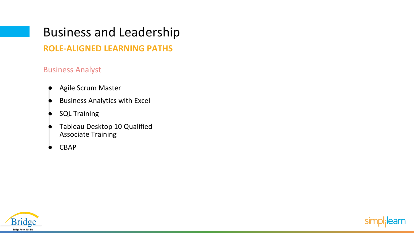### Business and Leadership **ROLE-ALIGNED LEARNING PATHS**

#### Business Analyst

- Agile Scrum Master
- **Business Analytics with Excel**
- **SQL Training**
- Tableau Desktop 10 Qualified Associate Training
- **CBAP**

![](_page_18_Picture_7.jpeg)

![](_page_18_Picture_8.jpeg)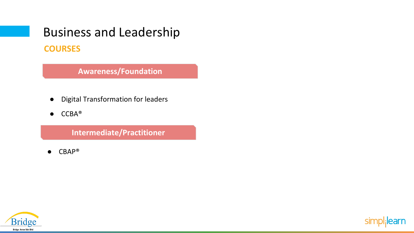## Business and Leadership **COURSES**

**Awareness/Foundation**

- Digital Transformation for leaders
- CCBA®

**Intermediate/Practitioner**

● CBAP®

![](_page_19_Picture_6.jpeg)

![](_page_19_Picture_7.jpeg)